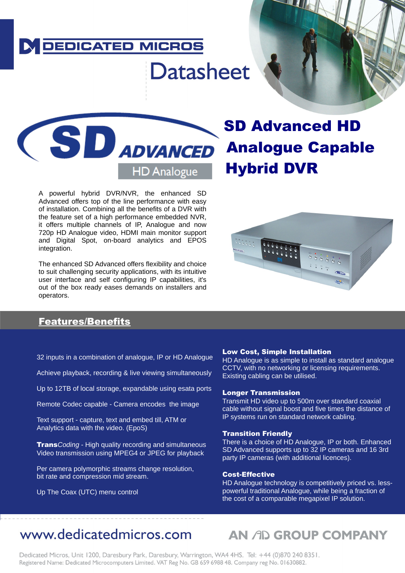### **DEDICATED MICROS**

# **Datasheet**



Advanced oners top or the line performance with easy<br>of installation. Combining all the benefits of a DVR with A powerful hybrid DVR/NVR, the enhanced SD Advanced offers top of the line performance with easy the feature set of a high performance embedded NVR, it offers multiple channels of IP, Analogue and now 720p HD Analogue video, HDMI main monitor support and Digital Spot, on-board analytics and EPOS integration.

The enhanced SD Advanced offers flexibility and choice to suit challenging security applications, with its intuitive user interface and self configuring IP capabilities, it's out of the box ready eases demands on installers and operators.

# Analogue Capable Hybrid DVR

W Alle



### Features/Benefits

**Features & Benefits** 32 inputs in a combination of analogue, IP or HD Analogue

Achieve playback, recording & live viewing simultaneously

Up to 12TB of local storage, expandable using esata ports

Remote Codec capable - Camera encodes the image

Text support - capture, text and embed till, ATM or Analytics data with the video. (EpoS)

Trans*Coding* - High quality recording and simultaneous Video transmission using MPEG4 or JPEG for playback

Per camera polymorphic streams change resolution, bit rate and compression mid stream.

Up The Coax (UTC) menu control

#### Low Cost, Simple Installation

HD Analogue is as simple to install as standard analogue CCTV, with no networking or licensing requirements. Existing cabling can be utilised.

#### Longer Transmission

Transmit HD video up to 500m over standard coaxial cable without signal boost and five times the distance of IP systems run on standard network cabling.

#### Transition Friendly

There is a choice of HD Analogue, IP or both. Enhanced SD Advanced supports up to 32 IP cameras and 16 3rd party IP cameras (with additional licences).

#### Cost-Effective

HD Analogue technology is competitively priced vs. lesspowerful traditional Analogue, while being a fraction of the cost of a comparable megapixel IP solution.

# www.dedicatedmicros.com

# AN AD GROUP COMPANY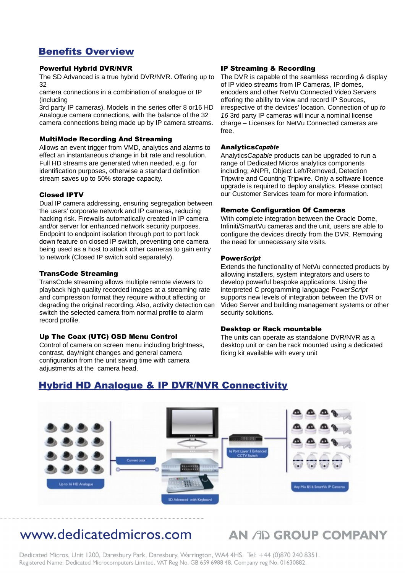### Benefits Overview

#### Powerful Hybrid DVR/NVR

The SD Advanced is a true hybrid DVR/NVR. Offering up to 32

camera connections in a combination of analogue or IP (including

3rd party IP cameras). Models in the series offer 8 or16 HD Analogue camera connections, with the balance of the 32 camera connections being made up by IP camera streams.

#### MultiMode Recording And Streaming

Allows an event trigger from VMD, analytics and alarms to effect an instantaneous change in bit rate and resolution. Full HD streams are generated when needed, e.g. for identification purposes, otherwise a standard definition stream saves up to 50% storage capacity.

#### Closed IPTV

Dual IP camera addressing, ensuring segregation between the users' corporate network and IP cameras, reducing hacking risk. Firewalls automatically created in IP camera and/or server for enhanced network security purposes. Endpoint to endpoint isolation through port to port lock down feature on closed IP switch, preventing one camera being used as a host to attack other cameras to gain entry to network (Closed IP switch sold separately).

#### TransCode Streaming

TransCode streaming allows multiple remote viewers to playback high quality recorded images at a streaming rate and compression format they require without affecting or degrading the original recording. Also, activity detection can switch the selected camera from normal profile to alarm record profile.

#### Up The Coax (UTC) OSD Menu Control

Control of camera on screen menu including brightness, contrast, day/night changes and general camera configuration from the unit saving time with camera adjustments at the camera head.

#### IP Streaming & Recording

The DVR is capable of the seamless recording & display of IP video streams from IP Cameras, IP domes, encoders and other NetVu Connected Video Servers offering the ability to view and record IP Sources, irrespective of the devices' location. Connection of up *to 16* 3rd party IP cameras will incur a nominal license charge – Licenses for NetVu Connected cameras are free.

#### **AnalyticsCapable**

Analytics*Capable* products can be upgraded to run a range of Dedicated Micros analytics components including; ANPR, Object Left/Removed, Detection Tripwire and Counting Tripwire. Only a software licence upgrade is required to deploy analytics. Please contact our Customer Services team for more information.

#### Remote Configuration Of Cameras

With complete integration between the Oracle Dome, Infiniti/SmartVu cameras and the unit, users are able to configure the devices directly from the DVR. Removing the need for unnecessary site visits.

#### **PowerScript**

Extends the functionality of NetVu connected products by allowing installers, system integrators and users to develop powerful bespoke applications. Using the interpreted C programming language Power*Script* supports new levels of integration between the DVR or Video Server and building management systems or other security solutions.

#### Desktop or Rack mountable

The units can operate as standalone DVR/NVR as a desktop unit or can be rack mounted using a dedicated fixing kit available with every unit



### Hybrid HD Analogue & IP DVR/NVR Connectivity

# www.dedicatedmicros.com

## **AN AD GROUP COMPANY**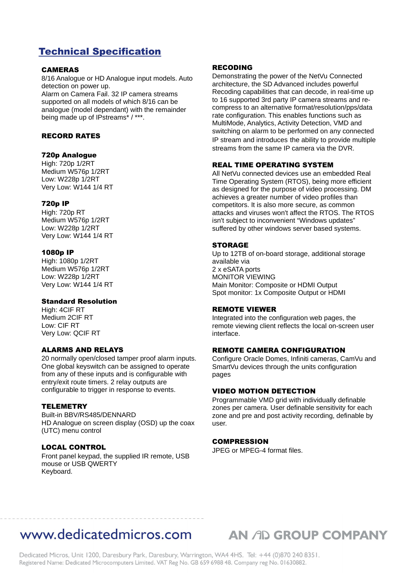### Technical Specification

#### CAMERAS

8/16 Analogue or HD Analogue input models. Auto detection on power up. Alarm on Camera Fail. 32 IP camera streams

supported on all models of which 8/16 can be analogue (model dependant) with the remainder being made up of IPstreams\* / \*\*\*.

#### RECORD RATES

#### 720p Analogue

High: 720p 1/2RT Medium W576p 1/2RT Low: W228p 1/2RT Very Low: W144 1/4 RT

#### 720p IP

High: 720p RT Medium W576p 1/2RT Low: W228p 1/2RT Very Low: W144 1/4 RT

#### 1080p IP

High: 1080p 1/2RT Medium W576p 1/2RT Low: W228p 1/2RT Very Low: W144 1/4 RT

#### Standard Resolution

High: 4CIF RT Medium 2CIF RT Low: CIF RT Very Low: QCIF RT

#### ALARMS AND RELAYS

20 normally open/closed tamper proof alarm inputs. One global keyswitch can be assigned to operate from any of these inputs and is configurable with entry/exit route timers. 2 relay outputs are configurable to trigger in response to events.

#### **TELEMETRY**

Built-in BBV/RS485/DENNARD HD Analogue on screen display (OSD) up the coax (UTC) menu control

#### LOCAL CONTROL

Front panel keypad, the supplied IR remote, USB mouse or USB QWERTY Keyboard.

#### RECODING

Demonstrating the power of the NetVu Connected architecture, the SD Advanced includes powerful Recoding capabilities that can decode, in real-time up to 16 supported 3rd party IP camera streams and recompress to an alternative format/resolution/pps/data rate configuration. This enables functions such as MultiMode, Analytics, Activity Detection, VMD and switching on alarm to be performed on any connected IP stream and introduces the ability to provide multiple streams from the same IP camera via the DVR.

#### REAL TIME OPERATING SYSTEM

All NetVu connected devices use an embedded Real Time Operating System (RTOS), being more efficient as designed for the purpose of video processing. DM achieves a greater number of video profiles than competitors. It is also more secure, as common attacks and viruses won't affect the RTOS. The RTOS isn't subject to inconvenient "Windows updates" suffered by other windows server based systems.

#### **STORAGE**

Up to 12TB of on-board storage, additional storage available via 2 x eSATA ports MONITOR VIEWING Main Monitor: Composite or HDMI Output Spot monitor: 1x Composite Output or HDMI

#### REMOTE VIEWER

Integrated into the configuration web pages, the remote viewing client reflects the local on-screen user interface.

#### REMOTE CAMERA CONFIGURATION

Configure Oracle Domes, Infiniti cameras, CamVu and SmartVu devices through the units configuration pages

#### VIDEO MOTION DETECTION

Programmable VMD grid with individually definable zones per camera. User definable sensitivity for each zone and pre and post activity recording, definable by user.

#### COMPRESSION

JPEG or MPEG-4 format files.

## WWW.dedicatedmicros.com AN AD GROUP COMPANY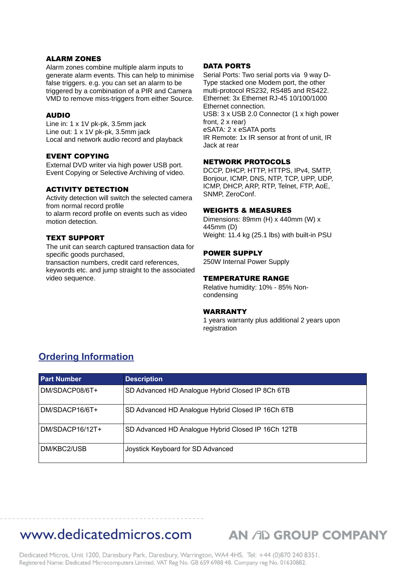#### ALARM ZONES

Alarm zones combine multiple alarm inputs to generate alarm events. This can help to minimise false triggers. e.g. you can set an alarm to be triggered by a combination of a PIR and Camera VMD to remove miss-triggers from either Source.

#### AUDIO

Line in: 1 x 1V pk-pk, 3.5mm jack Line out: 1 x 1V pk-pk, 3.5mm jack Local and network audio record and playback

#### EVENT COPYING

External DVD writer via high power USB port. Event Copying or Selective Archiving of video.

#### ACTIVITY DETECTION

Activity detection will switch the selected camera from normal record profile to alarm record profile on events such as video motion detection.

#### TEXT SUPPORT

The unit can search captured transaction data for specific goods purchased,

transaction numbers, credit card references, keywords etc. and jump straight to the associated video sequence.

#### DATA PORTS

Serial Ports: Two serial ports via 9 way D-Type stacked one Modem port, the other multi-protocol RS232, RS485 and RS422. Ethernet: 3x Ethernet RJ-45 10/100/1000 Ethernet connection. USB: 3 x USB 2.0 Connector (1 x high power front, 2 x rear) eSATA: 2 x eSATA ports IR Remote: 1x IR sensor at front of unit, IR Jack at rear

#### NETWORK PROTOCOLS

DCCP, DHCP, HTTP, HTTPS, IPv4, SMTP, Bonjour, ICMP, DNS, NTP, TCP, UPP, UDP, ICMP, DHCP, ARP, RTP, Telnet, FTP, AoE, SNMP, ZeroConf.

#### WEIGHTS & MEASURES

Dimensions: 89mm (H) x 440mm (W) x 445mm (D) Weight: 11.4 kg (25.1 lbs) with built-in PSU

#### POWER SUPPLY

250W Internal Power Supply

#### TEMPERATURE RANGE

Relative humidity: 10% - 85% Noncondensing

#### WARRANTY

1 years warranty plus additional 2 years upon registration

### **Ordering Information**

| <b>Part Number</b> | <b>Description</b>                                 |
|--------------------|----------------------------------------------------|
| DM/SDACP08/6T+     | SD Advanced HD Analogue Hybrid Closed IP 8Ch 6TB   |
| DM/SDACP16/6T+     | SD Advanced HD Analogue Hybrid Closed IP 16Ch 6TB  |
| DM/SDACP16/12T+    | SD Advanced HD Analogue Hybrid Closed IP 16Ch 12TB |
| DM/KBC2/USB        | Joystick Keyboard for SD Advanced                  |

### www.dedicatedmicros.com

**AN AD GROUP COMPANY**